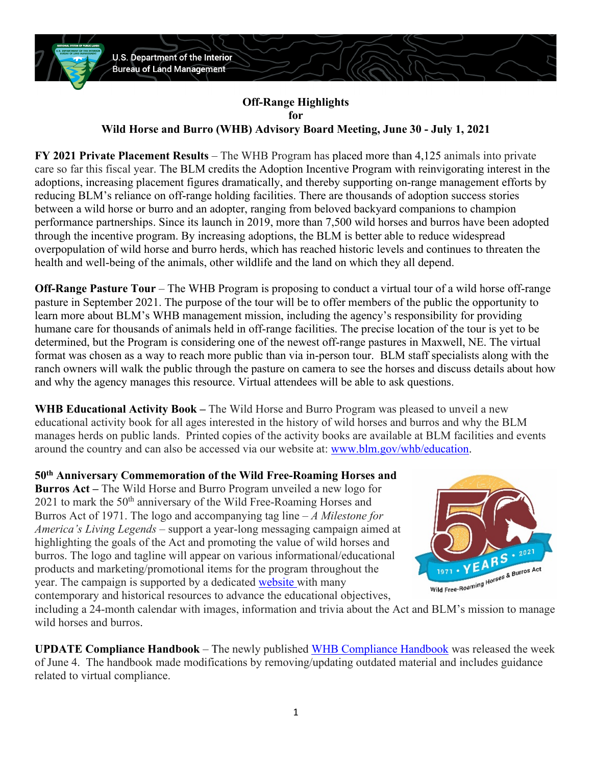

## **Off-Range Highlights for Wild Horse and Burro (WHB) Advisory Board Meeting, June 30 - July 1, 2021**

**FY 2021 Private Placement Results** – The WHB Program has placed more than 4,125 animals into private care so far this fiscal year. The BLM credits the Adoption Incentive Program with reinvigorating interest in the adoptions, increasing placement figures dramatically, and thereby supporting on-range management efforts by reducing BLM's reliance on off-range holding facilities. There are thousands of adoption success stories between a wild horse or burro and an adopter, ranging from beloved backyard companions to champion performance partnerships. Since its launch in 2019, more than 7,500 wild horses and burros have been adopted through the incentive program. By increasing adoptions, the BLM is better able to reduce widespread overpopulation of wild horse and burro herds, which has reached historic levels and continues to threaten the health and well-being of the animals, other wildlife and the land on which they all depend.

**Off-Range Pasture Tour** – The WHB Program is proposing to conduct a virtual tour of a wild horse off-range pasture in September 2021. The purpose of the tour will be to offer members of the public the opportunity to learn more about BLM's WHB management mission, including the agency's responsibility for providing humane care for thousands of animals held in off-range facilities. The precise location of the tour is yet to be determined, but the Program is considering one of the newest off-range pastures in Maxwell, NE. The virtual format was chosen as a way to reach more public than via in-person tour. BLM staff specialists along with the ranch owners will walk the public through the pasture on camera to see the horses and discuss details about how and why the agency manages this resource. Virtual attendees will be able to ask questions.

**WHB Educational Activity Book –** The Wild Horse and Burro Program was pleased to unveil a new educational activity book for all ages interested in the history of wild horses and burros and why the BLM manages herds on public lands. Printed copies of the activity books are available at BLM facilities and events around the country and can also be accessed via our website at: [www.blm.gov/whb/education.](www.blm.gov/whb/education)

**50th Anniversary Commemoration of the Wild Free-Roaming Horses and Burros Act –** The Wild Horse and Burro Program unveiled a new logo for  $2021$  to mark the  $50<sup>th</sup>$  anniversary of the Wild Free-Roaming Horses and Burros Act of 1971. The logo and accompanying tag line – *A Milestone for America's Living Legends* – support a year-long messaging campaign aimed at highlighting the goals of the Act and promoting the value of wild horses and burros. The logo and tagline will appear on various informational/educational products and marketing/promotional items for the program throughout the year. The campaign is supported by a dedicated [website w](https://www.blm.gov/programs/wild-horse-and-burro/50th-anniversary)ith many contemporary and historical resources to advance the educational objectives,



including a 24-month calendar with images, information and trivia about the Act and BLM's mission to manage wild horses and burros.

**UPDATE Compliance Handbook** – The newly published [WHB Compliance Handbook](https://www.blm.gov/sites/blm.gov/files/uploads/Media_Library_BLM_Policy_h4760-1.pdf) was released the week of June 4. The handbook made modifications by removing/updating outdated material and includes guidance related to virtual compliance.